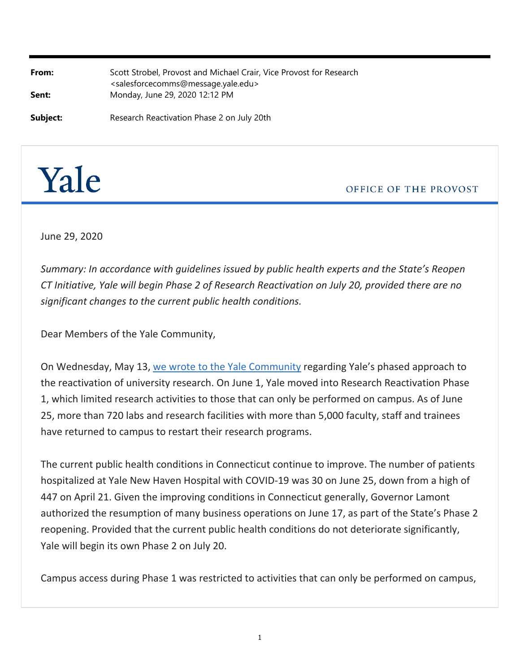| From:    | Scott Strobel, Provost and Michael Crair, Vice Provost for Research<br><salesforcecomms@message.yale.edu></salesforcecomms@message.yale.edu> |
|----------|----------------------------------------------------------------------------------------------------------------------------------------------|
| Sent:    | Monday, June 29, 2020 12:12 PM                                                                                                               |
| Subject: | Research Reactivation Phase 2 on July 20th                                                                                                   |



OFFICE OF THE PROVOST

June 29, 2020

*Summary: In accordance with guidelines issued by public health experts and the State's Reopen CT Initiative, Yale will begin Phase 2 of Research Reactivation on July 20, provided there are no significant changes to the current public health conditions.*

Dear Members of the Yale Community,

On Wednesday, May 13, [we wrote to the Yale Community](http://click.message.yale.edu/?qs=13054a11b6314ea5759314ff015cffb1a366934e39a343030311d5522d9091e3815b885af6056c6514e41b315adcfca78d291e1dbde94416) regarding Yale's phased approach to the reactivation of university research. On June 1, Yale moved into Research Reactivation Phase 1, which limited research activities to those that can only be performed on campus. As of June 25, more than 720 labs and research facilities with more than 5,000 faculty, staff and trainees have returned to campus to restart their research programs.

The current public health conditions in Connecticut continue to improve. The number of patients hospitalized at Yale New Haven Hospital with COVID‐19 was 30 on June 25, down from a high of 447 on April 21. Given the improving conditions in Connecticut generally, Governor Lamont authorized the resumption of many business operations on June 17, as part of the State's Phase 2 reopening. Provided that the current public health conditions do not deteriorate significantly, Yale will begin its own Phase 2 on July 20.

Campus access during Phase 1 was restricted to activities that can only be performed on campus,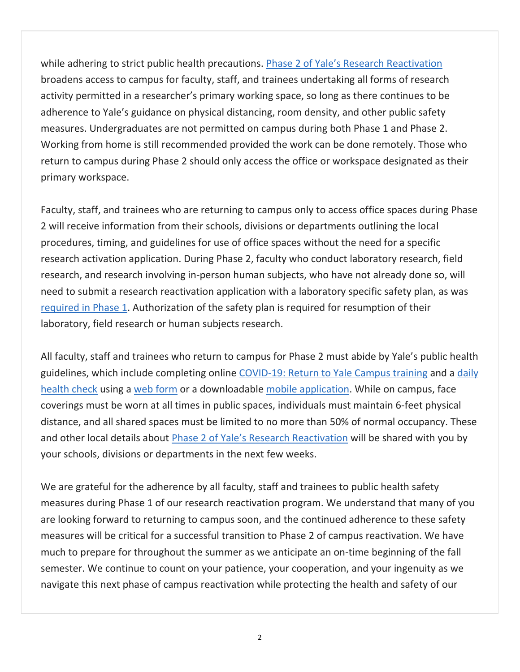while adhering to strict public health precautions. [Phase 2 of Yale's Research Reactivation](http://click.message.yale.edu/?qs=13054a11b6314ea5079b0f730c2d813712625a7ebf6cce87717540dfccfdb08e9c150ba8fc66282580ab641504737c2fbcfaf649f8d953ce) broadens access to campus for faculty, staff, and trainees undertaking all forms of research activity permitted in a researcher's primary working space, so long as there continues to be adherence to Yale's guidance on physical distancing, room density, and other public safety measures. Undergraduates are not permitted on campus during both Phase 1 and Phase 2. Working from home is still recommended provided the work can be done remotely. Those who return to campus during Phase 2 should only access the office or workspace designated as their primary workspace.

Faculty, staff, and trainees who are returning to campus only to access office spaces during Phase 2 will receive information from their schools, divisions or departments outlining the local procedures, timing, and guidelines for use of office spaces without the need for a specific research activation application. During Phase 2, faculty who conduct laboratory research, field research, and research involving in‐person human subjects, who have not already done so, will need to submit a research reactivation application with a laboratory specific safety plan, as was [required in Phase 1](http://click.message.yale.edu/?qs=13054a11b6314ea5afe52162331c61cea8860d4da11fc1efe798a5372081cc6be62799a1fc067b6940e4244c4d208eb9fb07a7cd7dced3a1). Authorization of the safety plan is required for resumption of their laboratory, field research or human subjects research.

All faculty, staff and trainees who return to campus for Phase 2 must abide by Yale's public health guidelines, which include completing online COVID-19: Return to Yale Campus training and a [daily](http://click.message.yale.edu/?qs=13054a11b6314ea5ce32d42ea9f9b0d0c2087ffdd3d2f20a49b6d195dfabc7a4c92a810c1fcd341facb6d254bffa3f22de5d68922ca45081) [health check](http://click.message.yale.edu/?qs=13054a11b6314ea5ce32d42ea9f9b0d0c2087ffdd3d2f20a49b6d195dfabc7a4c92a810c1fcd341facb6d254bffa3f22de5d68922ca45081) using a [web form](http://click.message.yale.edu/?qs=13054a11b6314ea56fd6a8d89f7ca6adda5c2c17491cbd74f48830ab251015322854edd9c9aa042bb7744ff32cfbb342e006dcdd2a5d5956) or a downloadable mobile application. While on campus, face coverings must be worn at all times in public spaces, individuals must maintain 6‐feet physical distance, and all shared spaces must be limited to no more than 50% of normal occupancy. These and other local details about Phase 2 of Yale's Research Reactivation will be shared with you by your schools, divisions or departments in the next few weeks.

We are grateful for the adherence by all faculty, staff and trainees to public health safety measures during Phase 1 of our research reactivation program. We understand that many of you are looking forward to returning to campus soon, and the continued adherence to these safety measures will be critical for a successful transition to Phase 2 of campus reactivation. We have much to prepare for throughout the summer as we anticipate an on-time beginning of the fall semester. We continue to count on your patience, your cooperation, and your ingenuity as we navigate this next phase of campus reactivation while protecting the health and safety of our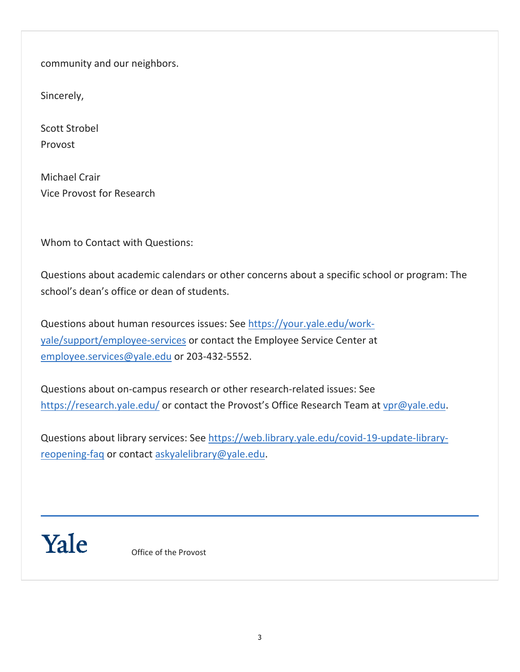community and our neighbors.

Sincerely,

Scott Strobel Provost

Michael Crair Vice Provost for Research

Whom to Contact with Questions:

Questions about academic calendars or other concerns about a specific school or program: The school's dean's office or dean of students.

Questions about human resources issues: See [https://your.yale.edu/work‐](http://click.message.yale.edu/?qs=13054a11b6314ea57999340678c2f2394ec0e3b6291088e2546feef1521ee178a29ceef22a08f29ae34e2dd2893724225b89976a22acdd37) [yale/support/employee‐services](http://click.message.yale.edu/?qs=13054a11b6314ea57999340678c2f2394ec0e3b6291088e2546feef1521ee178a29ceef22a08f29ae34e2dd2893724225b89976a22acdd37) or contact the Employee Service Center at employee.services@yale.edu or 203‐432‐5552.

Questions about on‐campus research or other research‐related issues: See https://research.yale.edu/ or contact the Provost's Office Research Team at vpr@yale.edu.

Questions about library services: See https://web.library.yale.edu/covid‐19‐update‐library‐ reopening-faq or contact askyalelibrary@yale.edu.



Office of the Provost